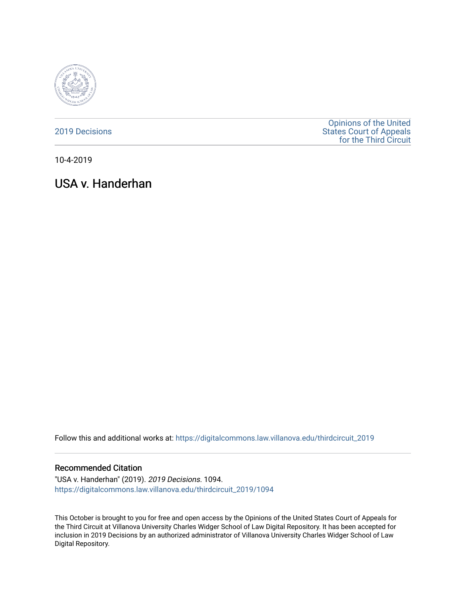

[2019 Decisions](https://digitalcommons.law.villanova.edu/thirdcircuit_2019)

[Opinions of the United](https://digitalcommons.law.villanova.edu/thirdcircuit)  [States Court of Appeals](https://digitalcommons.law.villanova.edu/thirdcircuit)  [for the Third Circuit](https://digitalcommons.law.villanova.edu/thirdcircuit) 

10-4-2019

# USA v. Handerhan

Follow this and additional works at: [https://digitalcommons.law.villanova.edu/thirdcircuit\\_2019](https://digitalcommons.law.villanova.edu/thirdcircuit_2019?utm_source=digitalcommons.law.villanova.edu%2Fthirdcircuit_2019%2F1094&utm_medium=PDF&utm_campaign=PDFCoverPages) 

#### Recommended Citation

"USA v. Handerhan" (2019). 2019 Decisions. 1094. [https://digitalcommons.law.villanova.edu/thirdcircuit\\_2019/1094](https://digitalcommons.law.villanova.edu/thirdcircuit_2019/1094?utm_source=digitalcommons.law.villanova.edu%2Fthirdcircuit_2019%2F1094&utm_medium=PDF&utm_campaign=PDFCoverPages) 

This October is brought to you for free and open access by the Opinions of the United States Court of Appeals for the Third Circuit at Villanova University Charles Widger School of Law Digital Repository. It has been accepted for inclusion in 2019 Decisions by an authorized administrator of Villanova University Charles Widger School of Law Digital Repository.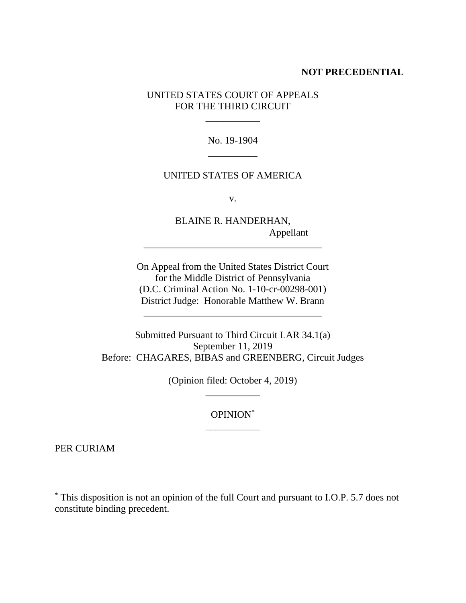#### **NOT PRECEDENTIAL**

UNITED STATES COURT OF APPEALS FOR THE THIRD CIRCUIT

\_\_\_\_\_\_\_\_\_\_\_

No. 19-1904 \_\_\_\_\_\_\_\_\_\_

### UNITED STATES OF AMERICA

v.

BLAINE R. HANDERHAN, Appellant

On Appeal from the United States District Court for the Middle District of Pennsylvania (D.C. Criminal Action No. 1-10-cr-00298-001) District Judge: Honorable Matthew W. Brann

\_\_\_\_\_\_\_\_\_\_\_\_\_\_\_\_\_\_\_\_\_\_\_\_\_\_\_\_\_\_\_\_\_\_\_\_

\_\_\_\_\_\_\_\_\_\_\_\_\_\_\_\_\_\_\_\_\_\_\_\_\_\_\_\_\_\_\_\_\_\_\_\_

Submitted Pursuant to Third Circuit LAR 34.1(a) September 11, 2019 Before: CHAGARES, BIBAS and GREENBERG, Circuit Judges

> (Opinion filed: October 4, 2019) \_\_\_\_\_\_\_\_\_\_\_

> > OPINION\* \_\_\_\_\_\_\_\_\_\_\_

PER CURIAM

<sup>\*</sup> This disposition is not an opinion of the full Court and pursuant to I.O.P. 5.7 does not constitute binding precedent.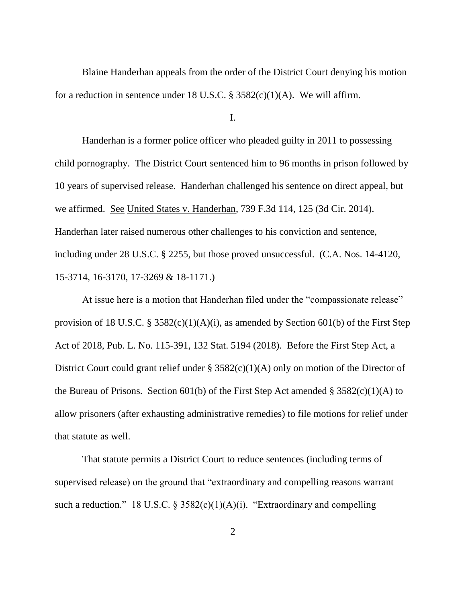Blaine Handerhan appeals from the order of the District Court denying his motion for a reduction in sentence under 18 U.S.C. §  $3582(c)(1)(A)$ . We will affirm.

I.

Handerhan is a former police officer who pleaded guilty in 2011 to possessing child pornography. The District Court sentenced him to 96 months in prison followed by 10 years of supervised release. Handerhan challenged his sentence on direct appeal, but we affirmed. See United States v. Handerhan, 739 F.3d 114, 125 (3d Cir. 2014). Handerhan later raised numerous other challenges to his conviction and sentence, including under 28 U.S.C. § 2255, but those proved unsuccessful. (C.A. Nos. 14-4120, 15-3714, 16-3170, 17-3269 & 18-1171.)

At issue here is a motion that Handerhan filed under the "compassionate release" provision of 18 U.S.C. § 3582(c)(1)(A)(i), as amended by Section 601(b) of the First Step Act of 2018, Pub. L. No. 115-391, 132 Stat. 5194 (2018). Before the First Step Act, a District Court could grant relief under § 3582(c)(1)(A) only on motion of the Director of the Bureau of Prisons. Section 601(b) of the First Step Act amended  $\S 3582(c)(1)(A)$  to allow prisoners (after exhausting administrative remedies) to file motions for relief under that statute as well.

That statute permits a District Court to reduce sentences (including terms of supervised release) on the ground that "extraordinary and compelling reasons warrant such a reduction." 18 U.S.C. § 3582(c)(1)(A)(i). "Extraordinary and compelling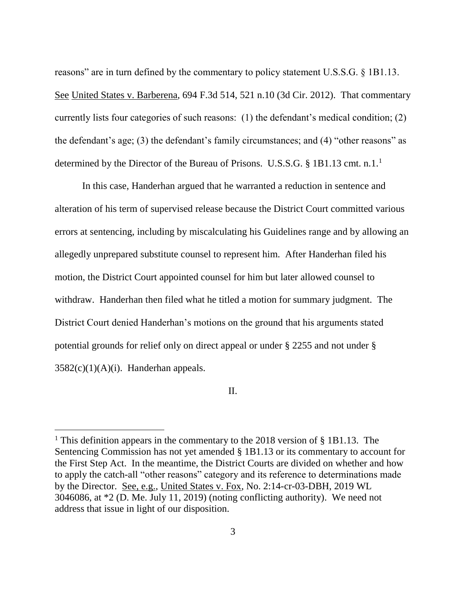reasons" are in turn defined by the commentary to policy statement U.S.S.G. § 1B1.13. See United States v. Barberena, 694 F.3d 514, 521 n.10 (3d Cir. 2012). That commentary currently lists four categories of such reasons: (1) the defendant's medical condition; (2) the defendant's age; (3) the defendant's family circumstances; and (4) "other reasons" as determined by the Director of the Bureau of Prisons. U.S.S.G. § 1B1.13 cmt. n.1.<sup>1</sup>

In this case, Handerhan argued that he warranted a reduction in sentence and alteration of his term of supervised release because the District Court committed various errors at sentencing, including by miscalculating his Guidelines range and by allowing an allegedly unprepared substitute counsel to represent him. After Handerhan filed his motion, the District Court appointed counsel for him but later allowed counsel to withdraw. Handerhan then filed what he titled a motion for summary judgment. The District Court denied Handerhan's motions on the ground that his arguments stated potential grounds for relief only on direct appeal or under § 2255 and not under §  $3582(c)(1)(A)(i)$ . Handerhan appeals.

II.

 $\overline{a}$ 

<sup>&</sup>lt;sup>1</sup> This definition appears in the commentary to the 2018 version of  $\S$  1B1.13. The Sentencing Commission has not yet amended § 1B1.13 or its commentary to account for the First Step Act. In the meantime, the District Courts are divided on whether and how to apply the catch-all "other reasons" category and its reference to determinations made by the Director. See, e.g., United States v. Fox, No. 2:14-cr-03-DBH, 2019 WL 3046086, at \*2 (D. Me. July 11, 2019) (noting conflicting authority). We need not address that issue in light of our disposition.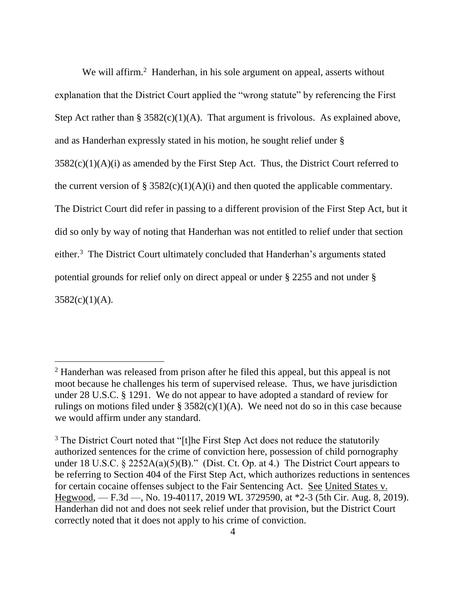We will affirm.<sup>2</sup> Handerhan, in his sole argument on appeal, asserts without explanation that the District Court applied the "wrong statute" by referencing the First Step Act rather than  $\S 3582(c)(1)(A)$ . That argument is frivolous. As explained above, and as Handerhan expressly stated in his motion, he sought relief under §  $3582(c)(1)(A)(i)$  as amended by the First Step Act. Thus, the District Court referred to the current version of § 3582(c)(1)(A)(i) and then quoted the applicable commentary. The District Court did refer in passing to a different provision of the First Step Act, but it did so only by way of noting that Handerhan was not entitled to relief under that section either.<sup>3</sup> The District Court ultimately concluded that Handerhan's arguments stated potential grounds for relief only on direct appeal or under § 2255 and not under §  $3582(c)(1)(A)$ .

 $\overline{a}$ 

 $2$  Handerhan was released from prison after he filed this appeal, but this appeal is not moot because he challenges his term of supervised release. Thus, we have jurisdiction under 28 U.S.C. § 1291. We do not appear to have adopted a standard of review for rulings on motions filed under §  $3582(c)(1)(A)$ . We need not do so in this case because we would affirm under any standard.

<sup>&</sup>lt;sup>3</sup> The District Court noted that "[t]he First Step Act does not reduce the statutorily authorized sentences for the crime of conviction here, possession of child pornography under 18 U.S.C. § 2252A(a)(5)(B)." (Dist. Ct. Op. at 4.) The District Court appears to be referring to Section 404 of the First Step Act, which authorizes reductions in sentences for certain cocaine offenses subject to the Fair Sentencing Act. See United States v. Hegwood, — F.3d —, No. 19-40117, 2019 WL 3729590, at \*2-3 (5th Cir. Aug. 8, 2019). Handerhan did not and does not seek relief under that provision, but the District Court correctly noted that it does not apply to his crime of conviction.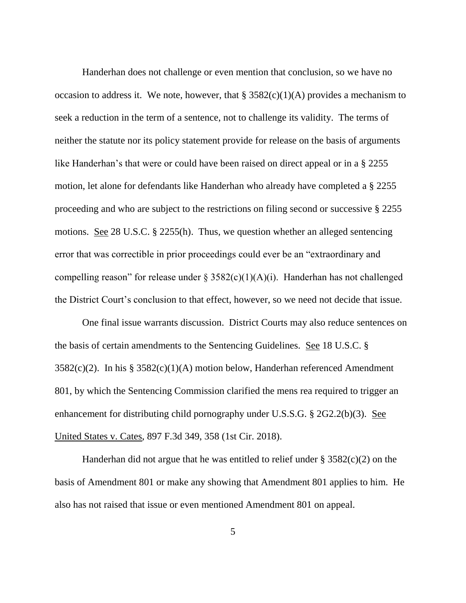Handerhan does not challenge or even mention that conclusion, so we have no occasion to address it. We note, however, that  $\S$  3582(c)(1)(A) provides a mechanism to seek a reduction in the term of a sentence, not to challenge its validity. The terms of neither the statute nor its policy statement provide for release on the basis of arguments like Handerhan's that were or could have been raised on direct appeal or in a § 2255 motion, let alone for defendants like Handerhan who already have completed a § 2255 proceeding and who are subject to the restrictions on filing second or successive § 2255 motions. See 28 U.S.C. § 2255(h). Thus, we question whether an alleged sentencing error that was correctible in prior proceedings could ever be an "extraordinary and compelling reason" for release under  $\S$  3582(c)(1)(A)(i). Handerhan has not challenged the District Court's conclusion to that effect, however, so we need not decide that issue.

One final issue warrants discussion. District Courts may also reduce sentences on the basis of certain amendments to the Sentencing Guidelines. See 18 U.S.C. § 3582(c)(2). In his § 3582(c)(1)(A) motion below, Handerhan referenced Amendment 801, by which the Sentencing Commission clarified the mens rea required to trigger an enhancement for distributing child pornography under U.S.S.G. § 2G2.2(b)(3). See United States v. Cates, 897 F.3d 349, 358 (1st Cir. 2018).

Handerhan did not argue that he was entitled to relief under  $\S 3582(c)(2)$  on the basis of Amendment 801 or make any showing that Amendment 801 applies to him. He also has not raised that issue or even mentioned Amendment 801 on appeal.